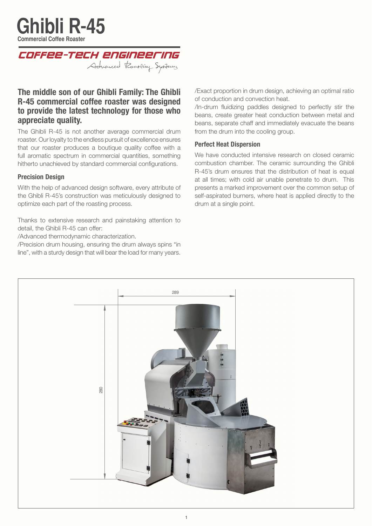

COFFEE-TECH ENGINEEFING Advanced Roasting Systems

## **The middle son of our Ghibli Family: The Ghibli R-45 commercial coffee roaster was designed** to provide the latest technology for those who **.quality appreciate**

The Ghibli R-45 is not another average commercial drum roaster. Our loyalty to the endless pursuit of excellence ensures that our roaster produces a boutique quality coffee with a full aromatic spectrum in commercial quantities, something hitherto unachieved by standard commercial configurations.

## **Precision Design**

With the help of advanced design software, every attribute of the Ghibli R-45's construction was meticulously designed to optimize each part of the roasting process.

Thanks to extensive research and painstaking attention to detail, the Ghibli R-45 can offer:

/Advanced thermodynamic characterization.

/Precision drum housing, ensuring the drum always spins "in line", with a sturdy design that will bear the load for many years. /Exact proportion in drum design, achieving an optimal ratio of conduction and convection heat.

 $\ln$ -drum fluidizing paddles designed to perfectly stir the beans, create greater heat conduction between metal and beans, separate chaff and immediately evacuate the beans from the drum into the cooling group.

## **Perfect Heat Dispersion**

We have conducted intensive research on closed ceramic combustion chamber. The ceramic surrounding the Ghibli R-45's drum ensures that the distribution of heat is equal at all times; with cold air unable penetrate to drum. This presents a marked improvement over the common setup of self-aspirated burners, where heat is applied directly to the drum at a single point.

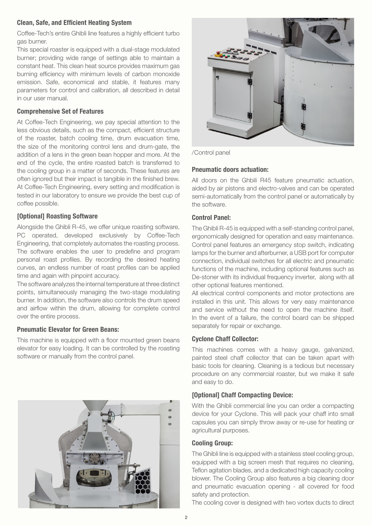## **Clean, Safe, and Efficient Heating System**

Coffee-Tech's entire Ghibli line features a highly efficient turbo gas burner.

This special roaster is equipped with a dual-stage modulated burner; providing wide range of settings able to maintain a constant heat. This clean heat source provides maximum gas burning efficiency with minimum levels of carbon monoxide emission. Safe, economical and stable, it features many parameters for control and calibration, all described in detail in our user manual.

## **Comprehensive Set of Features**

At Coffee-Tech Engineering, we pay special attention to the less obvious details, such as the compact, efficient structure of the roaster, batch cooling time, drum evacuation time, the size of the monitoring control lens and drum-gate, the addition of a lens in the green bean hopper and more. At the end of the cycle, the entire roasted batch is transferred to the cooling group in a matter of seconds. These features are often ignored but their impact is tangible in the finished brew. At Coffee-Tech Engineering, every setting and modification is tested in our laboratory to ensure we provide the best cup of coffee possible.

## **[Optional] Roasting Software**

Alongside the Ghibli R-45, we offer unique roasting software, PC operated, developed exclusively by Coffee-Tech Engineering, that completely automates the roasting process. The software enables the user to predefine and program personal roast profiles. By recording the desired heating curves, an endless number of roast profiles can be applied time and again with pinpoint accuracy.

The software analyzes the internal temperature at three distinct points, simultaneously managing the two-stage modulating burner. In addition, the software also controls the drum speed and airflow within the drum, allowing for complete control over the entire process.

## **Pneumatic Elevator for Green Beans:**

This machine is equipped with a floor mounted green beans elevator for easy loading. It can be controlled by the roasting software or manually from the control panel.





/Control panel

## **Pneumatic doors actuation:**

All doors on the Ghbili R45 feature pneumatic actuation, aided by air pistons and electro-valves and can be operated semi-automatically from the control panel or automatically by the software.

## **Control Panel:**

The Ghibli R-45 is equipped with a self-standing control panel, ergonomically designed for operation and easy maintenance. Control panel features an emergency stop switch, indicating lamps for the burner and afterburner, a USB port for computer connection, individual switches for all electric and pneumatic functions of the machine, including optional features such as De-stoner with its individual frequency inverter, along with all other optional features mentioned.

All electrical control components and motor protections are installed in this unit. This allows for very easy maintenance and service without the need to open the machine itself. In the event of a failure, the control board can be shipped separately for repair or exchange.

## **Cyclone Chaff Collector:**

This machines comes with a heavy gauge, galvanized, painted steel chaff collector that can be taken apart with basic tools for cleaning. Cleaning is a tedious but necessary procedure on any commercial roaster, but we make it safe and easy to do.

## **[Optional] Chaff Compacting Device:**

With the Ghibli commercial line you can order a compacting device for your Cyclone. This will pack your chaff into small capsules you can simply throw away or re-use for heating or agricultural purposes.

### **Cooling Group:**

The Ghibli line is equipped with a stainless steel cooling group, equipped with a big screen mesh that requires no cleaning. Teflon agitation blades, and a dedicated high capacity cooling blower. The Cooling Group also features a big cleaning door and pneumatic evacuation opening - all covered for food safety and protection.

The cooling cover is designed with two vortex ducts to direct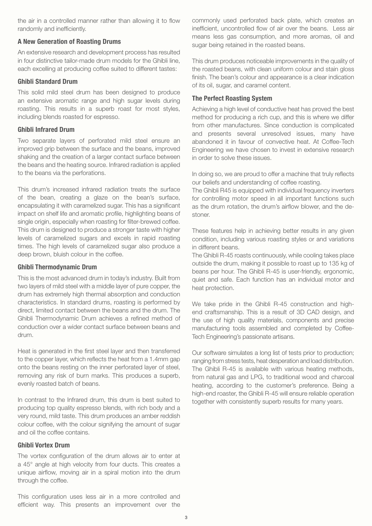the air in a controlled manner rather than allowing it to flow randomly and inefficiently.

### **A New Generation of Roasting Drums**

An extensive research and development process has resulted in four distinctive tailor-made drum models for the Ghibli line, each excelling at producing coffee suited to different tastes:

### **Ghibli Standard Drum**

This solid mild steel drum has been designed to produce an extensive aromatic range and high sugar levels during roasting. This results in a superb roast for most styles, including blends roasted for espresso.

## **Ghibli Infrared Drum**

Two separate layers of perforated mild steel ensure an improved grip between the surface and the beans, improved shaking and the creation of a larger contact surface between the beans and the heating source. Infrared radiation is applied to the beans via the perforations.

This drum's increased infrared radiation treats the surface of the bean, creating a glaze on the bean's surface, encapsulating it with caramelized sugar. This has a significant impact on shelf life and aromatic profile, highlighting beans of single origin, especially when roasting for filter-brewed coffee. This drum is designed to produce a stronger taste with higher levels of caramelized sugars and excels in rapid roasting times. The high levels of caramelized sugar also produce a deep brown, bluish colour in the coffee.

### **Ghibli Thermodynamic Drum**

This is the most advanced drum in today's industry. Built from two layers of mild steel with a middle layer of pure copper, the drum has extremely high thermal absorption and conduction characteristics. In standard drums, roasting is performed by direct, limited contact between the beans and the drum. The Ghibli Thermodynamic Drum achieves a refined method of conduction over a wider contact surface between beans and drum.

Heat is generated in the first steel layer and then transferred to the copper layer, which reflects the heat from a 1.4 mm gap onto the beans resting on the inner perforated layer of steel, removing any risk of burn marks. This produces a superb, evenly roasted batch of beans.

In contrast to the Infrared drum, this drum is best suited to producing top quality espresso blends, with rich body and a very round, mild taste. This drum produces an amber reddish colour coffee, with the colour signifying the amount of sugar and oil the coffee contains.

### **Ghibli Vortex Drum**

The vortex configuration of the drum allows air to enter at a 45° angle at high velocity from four ducts. This creates a unique airflow, moving air in a spiral motion into the drum through the coffee.

This configuration uses less air in a more controlled and efficient way. This presents an improvement over the

commonly used perforated back plate, which creates an inefficient, uncontrolled flow of air over the beans. Less air means less gas consumption, and more aromas, oil and sugar being retained in the roasted beans.

This drum produces noticeable improvements in the quality of the roasted beans, with clean uniform colour and stain gloss finish. The bean's colour and appearance is a clear indication of its oil, sugar, and caramel content.

## **The Perfect Roasting System**

Achieving a high level of conductive heat has proved the best method for producing a rich cup, and this is where we differ from other manufactures. Since conduction is complicated and presents several unresolved issues, many have abandoned it in favour of convective heat. At Coffee-Tech Engineering we have chosen to invest in extensive research in order to solve these issues.

In doing so, we are proud to offer a machine that truly reflects our beliefs and understanding of coffee roasting.

The Ghibli R45 is equipped with individual frequency inverters for controlling motor speed in all important functions such as the drum rotation, the drum's airflow blower, and the de-<br>stoner.

These features help in achieving better results in any given condition, including various roasting styles or and variations in different beans.

The Ghibli R-45 roasts continuously, while cooling takes place outside the drum, making it possible to roast up to 135 kg of beans per hour. The Ghibli R-45 is user-friendly, ergonomic, quiet and safe. Each function has an individual motor and heat protection.

end craftsmanship. This is a result of 3D CAD design, and We take pride in the Ghibli R-45 construction and highthe use of high quality materials, components and precise manufacturing tools assembled and completed by Coffee-<br>Tech-Engineering's passionate artisans.

Our software simulates a long list of tests prior to production; ranging from stress tests, heat desperation and load distribution. The Ghibli R-45 is available with various heating methods, from natural gas and LPG, to traditional wood and charcoal heating, according to the customer's preference. Being a high-end roaster, the Ghibli R-45 will ensure reliable operation together with consistently superb results for many years.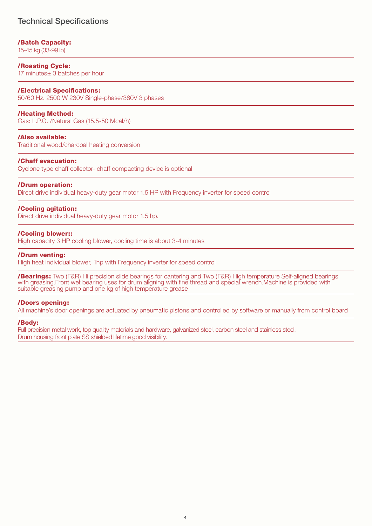## /Batch Capacity:

15-45 kg (33-99 lb)

### /Roasting Cycle:

 $17$  minutes $\pm$  3 batches per hour

### /Electrical Specifications:

50/60 Hz. 2500 W 230V Single-phase/380V 3 phases

#### /Heating Method:

Gas: L.P.G. / Natural Gas (15.5-50 Mcal/h)

#### /Also available:

Traditional wood/charcoal heating conversion

#### /Chaff evacuation:

Cyclone type chaff collector- chaff compacting device is optional

#### /Drum operation:

Direct drive individual heavy-duty gear motor 1.5 HP with Frequency inverter for speed control

#### /Cooling agitation:

Direct drive individual heavy-duty gear motor 1.5 hp.

#### /Cooling blower::

High capacity 3 HP cooling blower, cooling time is about 3-4 minutes

#### /Drum venting:

High heat individual blower, 1hp with Frequency inverter for speed control

**/Bearings:** Two (F&R) Hi precision slide bearings for cantering and Two (F&R) High temperature Self-aligned bearings with greasing. Front wet bearing uses for drum aligning with fine thread and special wrench. Machine is provided with suitable greasing pump and one kg of high temperature grease

#### /Doors opening:

All machine's door openings are actuated by pneumatic pistons and controlled by software or manually from control board

#### /Body:

Full precision metal work, top quality materials and hardware, galvanized steel, carbon steel and stainless steel. Drum housing front plate SS shielded lifetime good visibility.